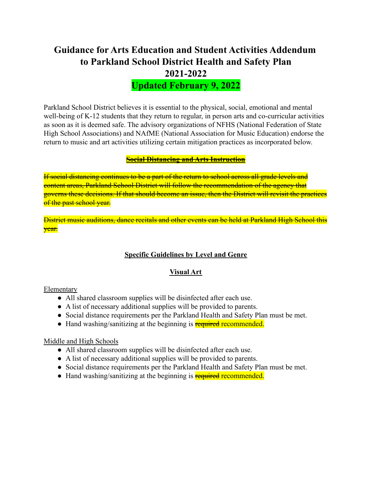# **Guidance for Arts Education and Student Activities Addendum to Parkland School District Health and Safety Plan 2021-2022**

**Updated February 9, 2022**

Parkland School District believes it is essential to the physical, social, emotional and mental well-being of K-12 students that they return to regular, in person arts and co-curricular activities as soon as it is deemed safe. The advisory organizations of NFHS (National Federation of State High School Associations) and NAfME (National Association for Music Education) endorse the return to music and art activities utilizing certain mitigation practices as incorporated below.

#### **Social Distancing and Arts Instruction**

If social distancing continues to be a part of the return to school across all grade levels and content areas, Parkland School District will follow the recommendation of the agency that governs these decisions. If that should become an issue, then the District will revisit the practices of the past school year.

District music auditions, dance recitals and other events can be held at Parkland High School this year.

## **Specific Guidelines by Level and Genre**

## **Visual Art**

Elementary

- All shared classroom supplies will be disinfected after each use.
- A list of necessary additional supplies will be provided to parents.
- Social distance requirements per the Parkland Health and Safety Plan must be met.
- Hand washing/sanitizing at the beginning is **required recommended.**

## Middle and High Schools

- All shared classroom supplies will be disinfected after each use.
- A list of necessary additional supplies will be provided to parents.
- Social distance requirements per the Parkland Health and Safety Plan must be met.
- Hand washing/sanitizing at the beginning is **required recommended.**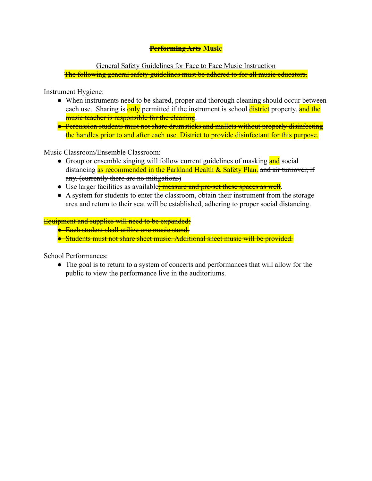# **Performing Arts Music**

General Safety Guidelines for Face to Face Music Instruction The following general safety guidelines must be adhered to for all music educators.

Instrument Hygiene:

- When instruments need to be shared, proper and thorough cleaning should occur between each use. Sharing is only permitted if the instrument is school district property. and the music teacher is responsible for the cleaning.
- Percussion students must not share drumsticks and mallets without properly disinfecting the handles prior to and after each use. District to provide disinfectant for this purpose.

Music Classroom/Ensemble Classroom:

- Group or ensemble singing will follow current guidelines of masking and social distancing as recommended in the Parkland Health & Safety Plan. and air turnover, if any. (currently there are no mitigations)
- Use larger facilities as available<del>; measure and pre-set these spaces as well</del>.
- A system for students to enter the classroom, obtain their instrument from the storage area and return to their seat will be established, adhering to proper social distancing.

Equipment and supplies will need to be expanded:

- Each student shall utilize one music stand.
- Students must not share sheet music. Additional sheet music will be provided.

School Performances:

• The goal is to return to a system of concerts and performances that will allow for the public to view the performance live in the auditoriums.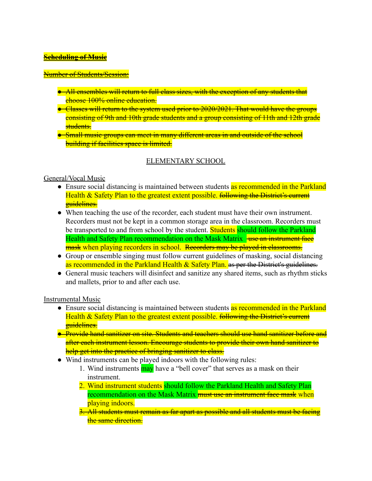#### **Scheduling of Music**

#### Number of Students/Session:

- All ensembles will return to full class sizes, with the exception of any students that choose 100% online education.
- Classes will return to the system used prior to 2020/2021. That would have the groups consisting of 9th and 10th grade students and a group consisting of 11th and 12th grade students.
- Small music groups can meet in many different areas in and outside of the school **building if facilities space is limited.**

## ELEMENTARY SCHOOL

#### General/Vocal Music

- Ensure social distancing is maintained between students as recommended in the Parkland Health & Safety Plan to the greatest extent possible. <del>following the District's current</del> guidelines.
- When teaching the use of the recorder, each student must have their own instrument. Recorders must not be kept in a common storage area in the classroom. Recorders must be transported to and from school by the student. **Students should follow the Parkland** Health and Safety Plan recommendation on the Mask Matrix <del>use an instrument face</del> mask when playing recorders in school. Recorders may be played in classrooms.
- Group or ensemble singing must follow current guidelines of masking, social distancing as recommended in the Parkland Health & Safety Plan. as per the District's guidelines.
- General music teachers will disinfect and sanitize any shared items, such as rhythm sticks and mallets, prior to and after each use.

#### Instrumental Music

- Ensure social distancing is maintained between students as recommended in the Parkland Health & Safety Plan to the greatest extent possible. following the District's current guidelines.
- Provide hand sanitizer on site. Students and teachers should use hand sanitizer before and after each instrument lesson. Encourage students to provide their own hand sanitizer to help get into the practice of bringing sanitizer to class.
- Wind instruments can be played indoors with the following rules:
	- 1. Wind instruments **may** have a "bell cover" that serves as a mask on their instrument.
	- 2. Wind instrument students should follow the Parkland Health and Safety Plan recommendation on the Mask Matrix must use an instrument face mask when playing indoors.
	- 3. All students must remain as far apart as possible and all students must be facing the same direction.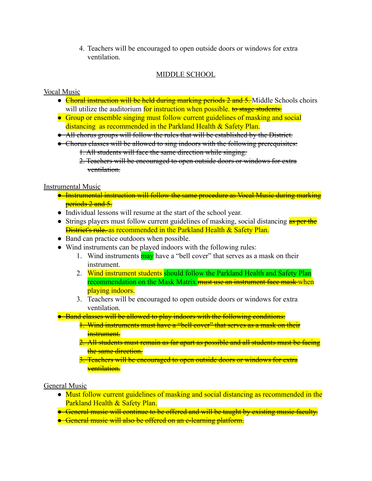4. Teachers will be encouraged to open outside doors or windows for extra ventilation.

# MIDDLE SCHOOL

# Vocal Music

- Choral instruction will be held during marking periods 2 and 5. Middle Schools choirs will utilize the auditorium for instruction when possible, to stage students.
- Group or ensemble singing must follow current guidelines of masking and social distancing as recommended in the Parkland Health & Safety Plan.
- All chorus groups will follow the rules that will be established by the District.
- Chorus classes will be allowed to sing indoors with the following prerequisites: 1. All students will face the same direction while singing.
	- 2. Teachers will be encouraged to open outside doors or windows for extra ventilation.

# Instrumental Music

- Instrumental instruction will follow the same procedure as Vocal Music during marking periods 2 and 5.
- Individual lessons will resume at the start of the school year.
- Strings players must follow current guidelines of masking, social distancing as per the **District's rule** as recommended in the Parkland Health & Safety Plan.
- Band can practice outdoors when possible.
- Wind instruments can be played indoors with the following rules:
	- 1. Wind instruments **may** have a "bell cover" that serves as a mask on their instrument.
	- 2. Wind instrument students should follow the Parkland Health and Safety Plan recommendation on the Mask Matrix must use an instrument face mask-when playing indoors.
	- 3. Teachers will be encouraged to open outside doors or windows for extra ventilation.
- Band classes will be allowed to play indoors with the following conditions:
	- 1. Wind instruments must have a "bell cover" that serves as a mask on their instrument.
	- 2. All students must remain as far apart as possible and all students must be facing the same direction.
	- 3. Teachers will be encouraged to open outside doors or windows for extra ventilation.

# General Music

- Must follow current guidelines of masking and social distancing as recommended in the Parkland Health & Safety Plan.
- General music will continue to be offered and will be taught by existing music faculty.
- General music will also be offered on an e-learning platform.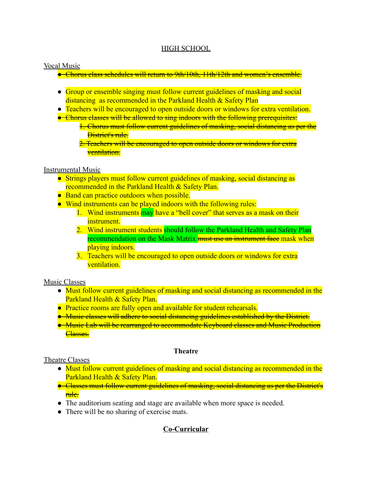# HIGH SCHOOL

#### Vocal Music

- Chorus class schedules will return to 9th/10th, 11th/12th and women's ensemble.
- Group or ensemble singing must follow current guidelines of masking and social distancing as recommended in the Parkland Health & Safety Plan
- Teachers will be encouraged to open outside doors or windows for extra ventilation.
- Chorus classes will be allowed to sing indoors with the following prerequisites:
	- 1. Chorus must follow current guidelines of masking, social distancing as per the District's rule.
	- 2. Teachers will be encouraged to open outside doors or windows for extra ventilation.

#### Instrumental Music

- Strings players must follow current guidelines of masking, social distancing as recommended in the Parkland Health & Safety Plan.
- Band can practice outdoors when possible.
- Wind instruments can be played indoors with the following rules:
	- 1. Wind instruments may have a "bell cover" that serves as a mask on their instrument.
	- 2. Wind instrument students should follow the Parkland Health and Safety Plan recommendation on the Mask Matrix must use an instrument face mask when playing indoors.
	- 3. Teachers will be encouraged to open outside doors or windows for extra ventilation.

#### Music Classes

- Must follow current guidelines of masking and social distancing as recommended in the Parkland Health & Safety Plan.
- Practice rooms are fully open and available for student rehearsals.
- Music classes will adhere to social distancing guidelines established by the District.
- Music Lab will be rearranged to accommodate Keyboard classes and Music Production Classes.

#### **Theatre**

#### Theatre Classes

- Must follow current guidelines of masking and social distancing as recommended in the Parkland Health & Safety Plan.
- Classes must follow current guidelines of masking, social distancing as per the District's rule.
- The auditorium seating and stage are available when more space is needed.
- There will be no sharing of exercise mats.

# **Co-Curricular**